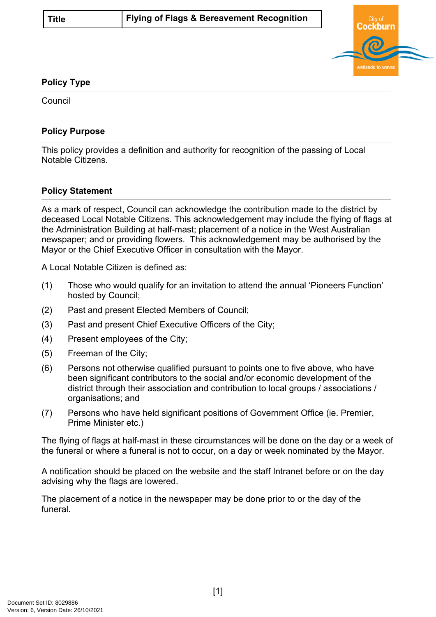

## **Policy Type**

**Council** 

## **Policy Purpose**

This policy provides a definition and authority for recognition of the passing of Local Notable Citizens.

## **[Policy Statement](#page-0-0)**

<span id="page-0-0"></span>As a mark of respect, Council can acknowledge the contribution made to the district by deceased Local Notable Citizens. This acknowledgement may include the flying of flags at the Administration Building at half-mast; placement of a notice in the West Australian newspaper; and or providing flowers. This acknowledgement may be authorised by the Mayor or the Chief Executive Officer in consultation with the Mayor.

A Local Notable Citizen is defined as:

- (1) Those who would qualify for an invitation to attend the annual 'Pioneers Function' hosted by Council;
- (2) Past and present Elected Members of Council;
- (3) Past and present Chief Executive Officers of the City;
- (4) Present employees of the City;
- (5) Freeman of the City;
- (6) Persons not otherwise qualified pursuant to points one to five above, who have been significant contributors to the social and/or economic development of the district through their association and contribution to local groups / associations / organisations; and
- (7) Persons who have held significant positions of Government Office (ie. Premier, Prime Minister etc.)

The flying of flags at half-mast in these circumstances will be done on the day or a week of the funeral or where a funeral is not to occur, on a day or week nominated by the Mayor.

A notification should be placed on the website and the staff Intranet before or on the day advising why the flags are lowered.

The placement of a notice in the newspaper may be done prior to or the day of the funeral.